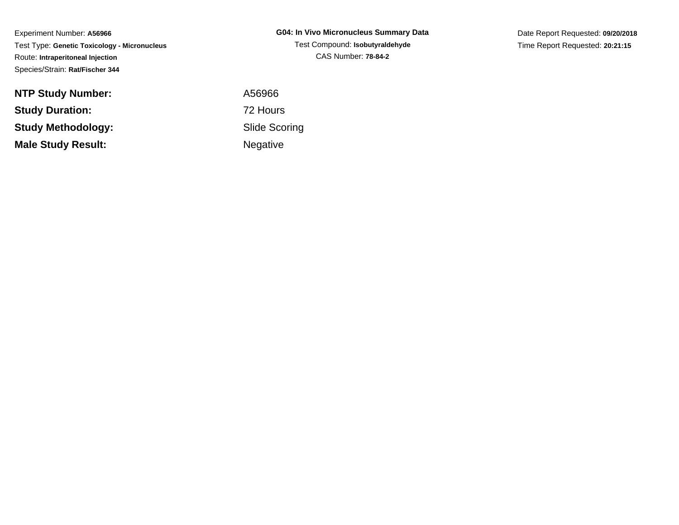Experiment Number: **A56966** Test Type: **Genetic Toxicology - Micronucleus**Route: **Intraperitoneal Injection**Species/Strain: **Rat/Fischer 344**

| <b>NTP Study Number:</b>  |
|---------------------------|
| <b>Study Duration:</b>    |
| Study Methodology:        |
| <b>Male Study Result:</b> |

**G04: In Vivo Micronucleus Summary Data**Test Compound: **Isobutyraldehyde**CAS Number: **78-84-2**

Date Report Requested: **09/20/2018**Time Report Requested: **20:21:15**

 A56966 72 Hours Slide ScoringNegative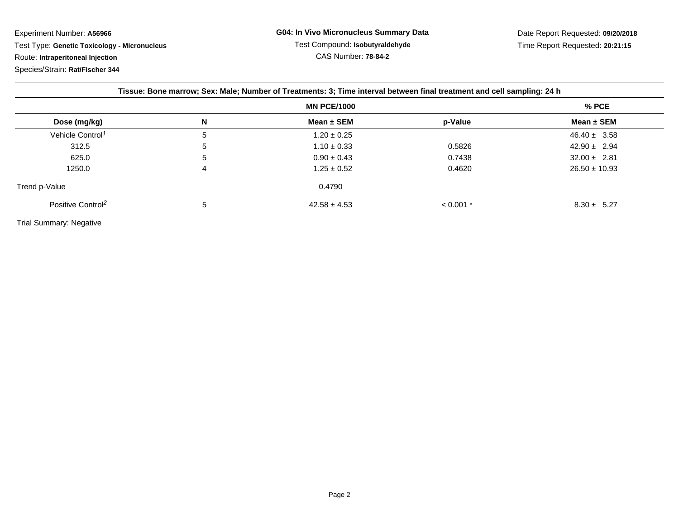Experiment Number: **A56966**

Test Type: **Genetic Toxicology - Micronucleus**

Route: **Intraperitoneal Injection**

Species/Strain: **Rat/Fischer 344**

| Tissue: Bone marrow; Sex: Male; Number of Treatments: 3; Time interval between final treatment and cell sampling: 24 h |   |                  |             |                   |  |
|------------------------------------------------------------------------------------------------------------------------|---|------------------|-------------|-------------------|--|
| <b>MN PCE/1000</b>                                                                                                     |   |                  |             | $%$ PCE           |  |
| Dose (mg/kg)                                                                                                           | N | Mean $\pm$ SEM   | p-Value     | Mean $\pm$ SEM    |  |
| Vehicle Control <sup>1</sup>                                                                                           | 5 | $1.20 \pm 0.25$  |             | $46.40 \pm 3.58$  |  |
| 312.5                                                                                                                  | 5 | $1.10 \pm 0.33$  | 0.5826      | $42.90 \pm 2.94$  |  |
| 625.0                                                                                                                  | 5 | $0.90 \pm 0.43$  | 0.7438      | $32.00 \pm 2.81$  |  |
| 1250.0                                                                                                                 | 4 | $1.25 \pm 0.52$  | 0.4620      | $26.50 \pm 10.93$ |  |
| Trend p-Value                                                                                                          |   | 0.4790           |             |                   |  |
| Positive Control <sup>2</sup>                                                                                          | 5 | $42.58 \pm 4.53$ | $< 0.001$ * | $8.30 \pm 5.27$   |  |
| <b>Trial Summary: Negative</b>                                                                                         |   |                  |             |                   |  |